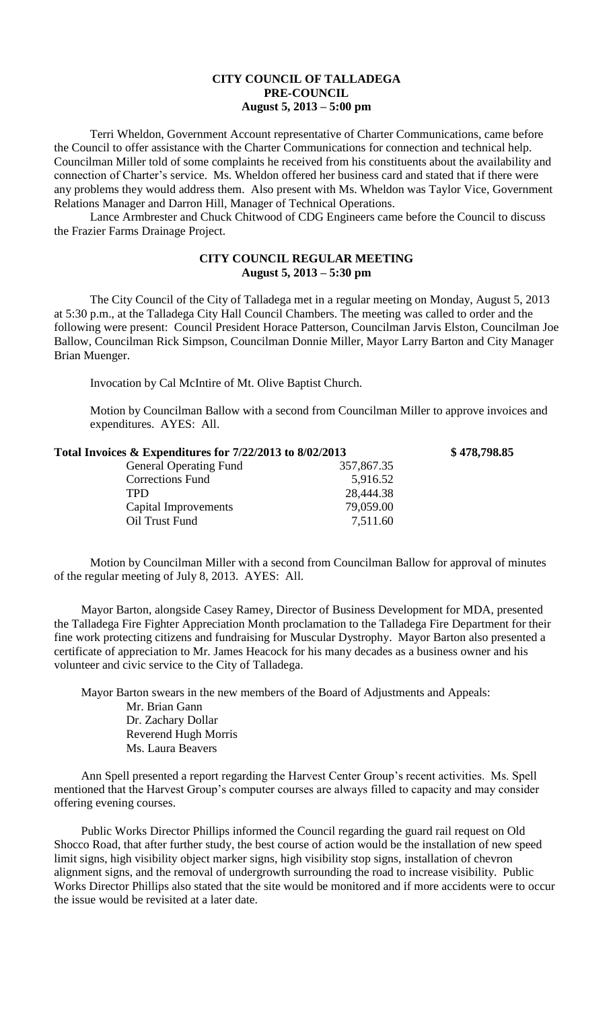## **CITY COUNCIL OF TALLADEGA PRE-COUNCIL August 5, 2013 – 5:00 pm**

Terri Wheldon, Government Account representative of Charter Communications, came before the Council to offer assistance with the Charter Communications for connection and technical help. Councilman Miller told of some complaints he received from his constituents about the availability and connection of Charter's service. Ms. Wheldon offered her business card and stated that if there were any problems they would address them. Also present with Ms. Wheldon was Taylor Vice, Government Relations Manager and Darron Hill, Manager of Technical Operations.

Lance Armbrester and Chuck Chitwood of CDG Engineers came before the Council to discuss the Frazier Farms Drainage Project.

## **CITY COUNCIL REGULAR MEETING August 5, 2013 – 5:30 pm**

The City Council of the City of Talladega met in a regular meeting on Monday, August 5, 2013 at 5:30 p.m., at the Talladega City Hall Council Chambers. The meeting was called to order and the following were present: Council President Horace Patterson, Councilman Jarvis Elston, Councilman Joe Ballow, Councilman Rick Simpson, Councilman Donnie Miller, Mayor Larry Barton and City Manager Brian Muenger.

Invocation by Cal McIntire of Mt. Olive Baptist Church.

Motion by Councilman Ballow with a second from Councilman Miller to approve invoices and expenditures. AYES: All.

| Total Invoices & Expenditures for 7/22/2013 to 8/02/2013 |            | \$478,798.85 |
|----------------------------------------------------------|------------|--------------|
| <b>General Operating Fund</b>                            | 357,867.35 |              |
| <b>Corrections Fund</b>                                  | 5,916.52   |              |
| <b>TPD</b>                                               | 28,444.38  |              |
| Capital Improvements                                     | 79,059.00  |              |
| Oil Trust Fund                                           | 7,511.60   |              |

Motion by Councilman Miller with a second from Councilman Ballow for approval of minutes of the regular meeting of July 8, 2013. AYES: All.

Mayor Barton, alongside Casey Ramey, Director of Business Development for MDA, presented the Talladega Fire Fighter Appreciation Month proclamation to the Talladega Fire Department for their fine work protecting citizens and fundraising for Muscular Dystrophy. Mayor Barton also presented a certificate of appreciation to Mr. James Heacock for his many decades as a business owner and his volunteer and civic service to the City of Talladega.

Mayor Barton swears in the new members of the Board of Adjustments and Appeals: Mr. Brian Gann Dr. Zachary Dollar Reverend Hugh Morris Ms. Laura Beavers

Ann Spell presented a report regarding the Harvest Center Group's recent activities. Ms. Spell mentioned that the Harvest Group's computer courses are always filled to capacity and may consider offering evening courses.

Public Works Director Phillips informed the Council regarding the guard rail request on Old Shocco Road, that after further study, the best course of action would be the installation of new speed limit signs, high visibility object marker signs, high visibility stop signs, installation of chevron alignment signs, and the removal of undergrowth surrounding the road to increase visibility. Public Works Director Phillips also stated that the site would be monitored and if more accidents were to occur the issue would be revisited at a later date.